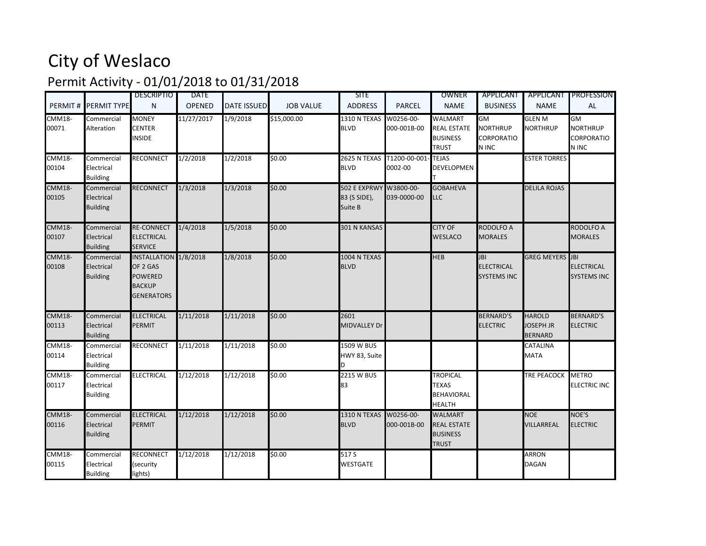## City of Weslaco

## Permit Activity - 01/01/2018 to 01/31/2018

|                        | PERMIT # PERMIT TYPE                        | <b>DESCRIPTIO</b><br>N                                                                    | <b>DATE</b><br><b>OPENED</b> | <b>DATE ISSUED</b> | <b>JOB VALUE</b> | <b>SITE</b><br><b>ADDRESS</b>                     | <b>PARCEL</b>                               | OWNER<br><b>NAME</b>                                                    | APPLICANT<br><b>BUSINESS</b>                          | APPLICANT<br><b>NAME</b>                            | <b>PROFESSION</b><br><b>AL</b>                      |
|------------------------|---------------------------------------------|-------------------------------------------------------------------------------------------|------------------------------|--------------------|------------------|---------------------------------------------------|---------------------------------------------|-------------------------------------------------------------------------|-------------------------------------------------------|-----------------------------------------------------|-----------------------------------------------------|
| <b>CMM18-</b><br>00071 | Commercial<br>Alteration                    | <b>MONEY</b><br><b>CENTER</b><br><b>INSIDE</b>                                            | 11/27/2017                   | 1/9/2018           | \$15,000.00      | 1310 N TEXAS<br><b>BLVD</b>                       | W0256-00-<br>000-001B-00                    | <b>WALMART</b><br><b>REAL ESTATE</b><br><b>BUSINESS</b><br><b>TRUST</b> | GM<br><b>NORTHRUP</b><br><b>CORPORATIO</b><br>N INC   | <b>GLEN M</b><br><b>NORTHRUP</b>                    | GM<br><b>NORTHRUP</b><br><b>CORPORATIO</b><br>N INC |
| <b>CMM18-</b><br>00104 | Commercial<br>Electrical<br><b>Building</b> | <b>RECONNECT</b>                                                                          | 1/2/2018                     | 1/2/2018           | \$0.00           | <b>BLVD</b>                                       | 2625 N TEXAS T1200-00-001- TEJAS<br>0002-00 | DEVELOPMEN                                                              |                                                       | <b>ESTER TORRES</b>                                 |                                                     |
| <b>CMM18-</b><br>00105 | Commercial<br>Electrical<br><b>Building</b> | <b>RECONNECT</b>                                                                          | 1/3/2018                     | 1/3/2018           | \$0.00           | 502 E EXPRWY W3800-00-<br>83 (S SIDE),<br>Suite B | 039-0000-00                                 | <b>GOBAHEVA</b><br><b>LLC</b>                                           |                                                       | <b>DELILA ROJAS</b>                                 |                                                     |
| <b>CMM18-</b><br>00107 | Commercial<br>Electrical<br><b>Building</b> | <b>RE-CONNECT</b><br><b>ELECTRICAL</b><br><b>SERVICE</b>                                  | 1/4/2018                     | 1/5/2018           | 50.00            | <b>301 N KANSAS</b>                               |                                             | <b>CITY OF</b><br>WESLACO                                               | <b>RODOLFO A</b><br><b>MORALES</b>                    |                                                     | <b>RODOLFO A</b><br><b>MORALES</b>                  |
| <b>CMM18-</b><br>00108 | Commercial<br>Electrical<br><b>Building</b> | INSTALLATION 1/8/2018<br>OF 2 GAS<br><b>POWERED</b><br><b>BACKUP</b><br><b>GENERATORS</b> |                              | 1/8/2018           | \$0.00           | 1004 N TEXAS<br><b>BLVD</b>                       |                                             | <b>HEB</b>                                                              | <b>JBI</b><br><b>ELECTRICAL</b><br><b>SYSTEMS INC</b> | <b>GREG MEYERS</b> JBI                              | <b>ELECTRICAL</b><br><b>SYSTEMS INC</b>             |
| <b>CMM18-</b><br>00113 | Commercial<br>Electrical<br><b>Building</b> | <b>ELECTRICAL</b><br><b>PERMIT</b>                                                        | 1/11/2018                    | 1/11/2018          | \$0.00           | 2601<br>MIDVALLEY Dr                              |                                             |                                                                         | <b>BERNARD'S</b><br><b>ELECTRIC</b>                   | <b>HAROLD</b><br><b>JOSEPH JR</b><br><b>BERNARD</b> | <b>BERNARD'S</b><br><b>ELECTRIC</b>                 |
| <b>CMM18-</b><br>00114 | Commercial<br>Electrical<br><b>Building</b> | <b>RECONNECT</b>                                                                          | 1/11/2018                    | 1/11/2018          | \$0.00           | 1509 W BUS<br>HWY 83, Suite                       |                                             |                                                                         |                                                       | CATALINA<br><b>MATA</b>                             |                                                     |
| <b>CMM18-</b><br>00117 | Commercial<br>Electrical<br><b>Building</b> | <b>ELECTRICAL</b>                                                                         | 1/12/2018                    | 1/12/2018          | \$0.00           | <b>2215 W BUS</b><br>83                           |                                             | <b>TROPICAL</b><br><b>TEXAS</b><br><b>BEHAVIORAL</b><br><b>HEALTH</b>   |                                                       | <b>TRE PEACOCK</b>                                  | <b>METRO</b><br><b>ELECTRIC INC</b>                 |
| <b>CMM18-</b><br>00116 | Commercial<br>Electrical<br><b>Building</b> | <b>ELECTRICAL</b><br><b>PERMIT</b>                                                        | 1/12/2018                    | 1/12/2018          | \$0.00           | <b>1310 N TEXAS</b><br><b>BLVD</b>                | W0256-00-<br>000-001B-00                    | <b>WALMART</b><br><b>REAL ESTATE</b><br><b>BUSINESS</b><br><b>TRUST</b> |                                                       | <b>NOE</b><br>VILLARREAL                            | NOE'S<br><b>ELECTRIC</b>                            |
| <b>CMM18-</b><br>00115 | Commercial<br>Electrical<br><b>Building</b> | <b>RECONNECT</b><br>(security<br>lights)                                                  | 1/12/2018                    | 1/12/2018          | \$0.00           | 517 S<br><b>WESTGATE</b>                          |                                             |                                                                         |                                                       | <b>ARRON</b><br><b>DAGAN</b>                        |                                                     |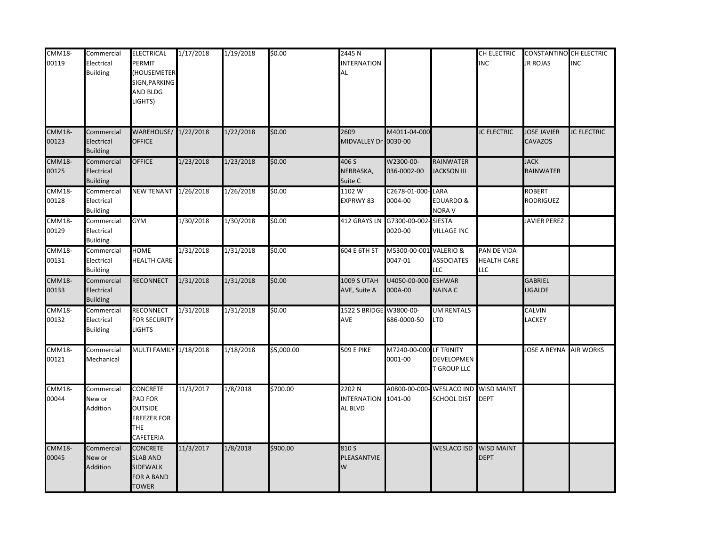| <b>CMM18-</b>          | Commercial                                  | <b>ELECTRICAL</b>                                                                                           | 1/17/2018 | 1/19/2018 | \$0.00     | 2445 N                                 |                                             |                                          | CH ELECTRIC                                     | <b>CONSTANTINO CH ELECTRIC</b>       |                    |
|------------------------|---------------------------------------------|-------------------------------------------------------------------------------------------------------------|-----------|-----------|------------|----------------------------------------|---------------------------------------------|------------------------------------------|-------------------------------------------------|--------------------------------------|--------------------|
| 00119                  | Electrical<br><b>Building</b>               | <b>PERMIT</b><br>(HOUSEMETER<br>SIGN, PARKING                                                               |           |           |            | <b>INTERNATION</b><br>AL               |                                             |                                          | <b>INC</b>                                      | <b>JR ROJAS</b>                      | <b>INC</b>         |
|                        |                                             | <b>AND BLDG</b><br>LIGHTS)                                                                                  |           |           |            |                                        |                                             |                                          |                                                 |                                      |                    |
| <b>CMM18-</b><br>00123 | Commercial<br>Electrical<br><b>Building</b> | WAREHOUSE/<br><b>OFFICE</b>                                                                                 | 1/22/2018 | 1/22/2018 | \$0.00     | 2609<br>MIDVALLEY Dr 0030-00           | M4011-04-000                                |                                          | <b>JC ELECTRIC</b>                              | <b>JOSE JAVIER</b><br><b>CAVAZOS</b> | <b>JC ELECTRIC</b> |
| <b>CMM18-</b><br>00125 | Commercial<br>Electrical<br><b>Building</b> | <b>OFFICE</b>                                                                                               | 1/23/2018 | 1/23/2018 | \$0.00     | 406 S<br>NEBRASKA,<br>Suite C          | W2300-00-<br>036-0002-00                    | <b>RAINWATER</b><br><b>JACKSON III</b>   |                                                 | <b>JACK</b><br>RAINWATER             |                    |
| <b>CMM18-</b><br>00128 | Commercial<br>Electrical<br><b>Building</b> | <b>NEW TENANT</b>                                                                                           | 1/26/2018 | 1/26/2018 | \$0.00     | 1102 W<br>EXPRWY 83                    | C2678-01-000-LARA<br>0004-00                | EDUARDO &<br><b>NORA V</b>               |                                                 | <b>ROBERT</b><br>RODRIGUEZ           |                    |
| <b>CMM18-</b><br>00129 | Commercial<br>Electrical<br><b>Building</b> | <b>GYM</b>                                                                                                  | 1/30/2018 | 1/30/2018 | \$0.00     |                                        | 412 GRAYS LN G7300-00-002-SIESTA<br>0020-00 | <b>VILLAGE INC</b>                       |                                                 | <b>JAVIER PEREZ</b>                  |                    |
| <b>CMM18-</b><br>00131 | Commercial<br>Electrical<br><b>Building</b> | <b>HOME</b><br><b>HEALTH CARE</b>                                                                           | 1/31/2018 | 1/31/2018 | \$0.00     | 604 E 6TH ST                           | M5300-00-001 VALERIO &<br>0047-01           | <b>ASSOCIATES</b><br>LLC.                | PAN DE VIDA<br><b>HEALTH CARE</b><br><b>LLC</b> |                                      |                    |
| <b>CMM18-</b><br>00133 | Commercial<br>Electrical<br><b>Building</b> | <b>RECONNECT</b>                                                                                            | 1/31/2018 | 1/31/2018 | \$0.00     | 1009 S UTAH<br>AVE, Suite A            | U4050-00-000<br>000A-00                     | <b>ESHWAR</b><br>NAINA C                 |                                                 | GABRIEL<br><b>JGALDE</b>             |                    |
| <b>CMM18-</b><br>00132 | Commercial<br>Electrical<br><b>Building</b> | <b>RECONNECT</b><br><b>FOR SECURITY</b><br><b>LIGHTS</b>                                                    | 1/31/2018 | 1/31/2018 | \$0.00     | 1522 S BRIDGE W3800-00-<br>AVE         | 686-0000-50                                 | <b>UM RENTALS</b><br>LTD                 |                                                 | CALVIN<br>LACKEY                     |                    |
| <b>CMM18-</b><br>00121 | Commercial<br>Mechanical                    | MULTI FAMILY 1/18/2018                                                                                      |           | 1/18/2018 | \$5,000.00 | 509 E PIKE                             | M7240-00-000 LF TRINITY<br>0001-00          | DEVELOPMEN<br><b>T GROUP LLC</b>         |                                                 | <b>IOSE A REYNA AIR WORKS</b>        |                    |
| <b>CMM18-</b><br>00044 | Commercial<br>New or<br>Addition            | <b>CONCRETE</b><br><b>PAD FOR</b><br><b>OUTSIDE</b><br><b>FREEZER FOR</b><br><b>THE</b><br><b>CAFETERIA</b> | 11/3/2017 | 1/8/2018  | \$700.00   | 2202N<br><b>INTERNATION</b><br>AL BLVD | 1041-00                                     | A0800-00-000- WESLACO IND<br>SCHOOL DIST | <b>WISD MAINT</b><br><b>DEPT</b>                |                                      |                    |
| <b>CMM18-</b><br>00045 | Commercial<br>New or<br>Addition            | <b>CONCRETE</b><br><b>SLAB AND</b><br><b>SIDEWALK</b><br>FOR A BAND<br><b>TOWER</b>                         | 11/3/2017 | 1/8/2018  | \$900.00   | 810 S<br>PLEASANTVIE<br>$\overline{M}$ |                                             | <b>WESLACO ISD</b>                       | <b>WISD MAINT</b><br><b>DEPT</b>                |                                      |                    |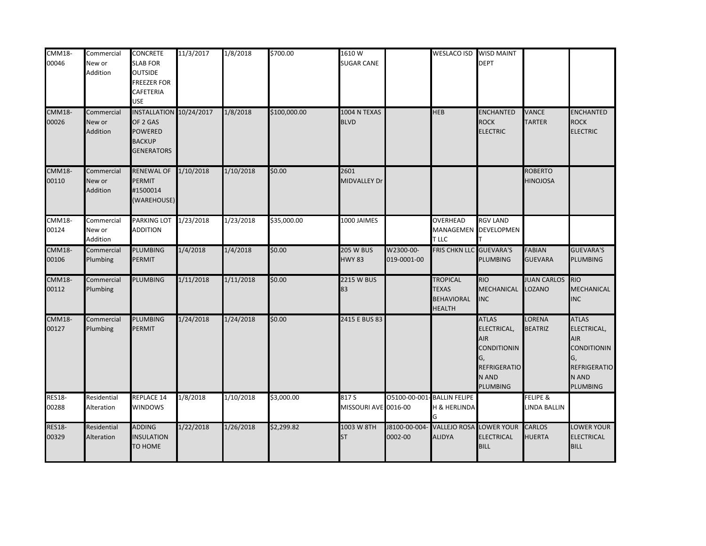| <b>CMM18-</b><br>00046 | Commercial<br>New or<br>Addition | <b>CONCRETE</b><br><b>SLAB FOR</b><br><b>OUTSIDE</b><br><b>FREEZER FOR</b> | 11/3/2017 | 1/8/2018  | \$700.00     | 1610W<br><b>SUGAR CANE</b>        |                             | WESLACO ISD WISD MAINT                                                | <b>DEPT</b>                                                                                                       |                                   |                                                                                                                   |
|------------------------|----------------------------------|----------------------------------------------------------------------------|-----------|-----------|--------------|-----------------------------------|-----------------------------|-----------------------------------------------------------------------|-------------------------------------------------------------------------------------------------------------------|-----------------------------------|-------------------------------------------------------------------------------------------------------------------|
| <b>CMM18-</b>          |                                  | <b>CAFETERIA</b><br><b>USE</b><br>INSTALLATION 10/24/2017                  |           | 1/8/2018  | \$100,000.00 | 1004 N TEXAS                      |                             | <b>HEB</b>                                                            | <b>ENCHANTED</b>                                                                                                  | <b>VANCE</b>                      | <b>ENCHANTED</b>                                                                                                  |
| 00026                  | Commercial<br>New or<br>Addition | OF 2 GAS<br><b>POWERED</b><br><b>BACKUP</b><br><b>GENERATORS</b>           |           |           |              | <b>BLVD</b>                       |                             |                                                                       | <b>ROCK</b><br><b>ELECTRIC</b>                                                                                    | <b>TARTER</b>                     | <b>ROCK</b><br><b>ELECTRIC</b>                                                                                    |
| <b>CMM18-</b><br>00110 | Commercial<br>New or<br>Addition | <b>RENEWAL OF</b><br><b>PERMIT</b><br>#1500014<br>(WAREHOUSE)              | 1/10/2018 | 1/10/2018 | \$0.00       | 2601<br><b>MIDVALLEY Dr</b>       |                             |                                                                       |                                                                                                                   | <b>ROBERTO</b><br><b>HINOJOSA</b> |                                                                                                                   |
| <b>CMM18-</b><br>00124 | Commercial<br>New or<br>Addition | PARKING LOT<br><b>ADDITION</b>                                             | 1/23/2018 | 1/23/2018 | \$35,000.00  | 1000 JAIMES                       |                             | <b>OVERHEAD</b><br>T LLC                                              | <b>RGV LAND</b><br>MANAGEMEN DEVELOPMEN                                                                           |                                   |                                                                                                                   |
| <b>CMM18-</b><br>00106 | Commercial<br>Plumbing           | <b>PLUMBING</b><br><b>PERMIT</b>                                           | 1/4/2018  | 1/4/2018  | \$0.00       | <b>205 W BUS</b><br><b>HWY 83</b> | W2300-00-<br>019-0001-00    | <b>FRIS CHKN LLC GUEVARA'S</b>                                        | PLUMBING                                                                                                          | FABIAN<br><b>GUEVARA</b>          | <b>GUEVARA'S</b><br><b>PLUMBING</b>                                                                               |
| $CMM18-$<br>00112      | Commercial<br>Plumbing           | <b>PLUMBING</b>                                                            | 1/11/2018 | 1/11/2018 | \$0.00       | <b>2215 W BUS</b><br>83           |                             | <b>TROPICAL</b><br><b>TEXAS</b><br><b>BEHAVIORAL</b><br><b>HEALTH</b> | <b>RIO</b><br><b>MECHANICAL</b><br><b>INC</b>                                                                     | <b>JUAN CARLOS</b><br>LOZANO      | <b>RIO</b><br><b>MECHANICAL</b><br><b>INC</b>                                                                     |
| <b>CMM18-</b><br>00127 | Commercial<br>Plumbing           | <b>PLUMBING</b><br><b>PERMIT</b>                                           | 1/24/2018 | 1/24/2018 | \$0.00       | 2415 E BUS 83                     |                             |                                                                       | <b>ATLAS</b><br>ELECTRICAL,<br><b>AIR</b><br><b>CONDITIONIN</b><br>G,<br>REFRIGERATIO<br>N AND<br><b>PLUMBING</b> | LORENA<br><b>BEATRIZ</b>          | <b>ATLAS</b><br>ELECTRICAL,<br><b>AIR</b><br><b>CONDITIONIN</b><br>G,<br><b>REFRIGERATIO</b><br>N AND<br>PLUMBING |
| <b>RES18-</b><br>00288 | Residential<br>Alteration        | <b>REPLACE 14</b><br><b>WINDOWS</b>                                        | 1/8/2018  | 1/10/2018 | \$3,000.00   | 817 S<br>MISSOURI AVE 0016-00     | O5100-00-001- BALLIN FELIPE | H & HERLINDA                                                          |                                                                                                                   | FELIPE &<br><b>LINDA BALLIN</b>   |                                                                                                                   |
| <b>RES18-</b><br>00329 | Residential<br>Alteration        | <b>ADDING</b><br><b>INSULATION</b><br>TO HOME                              | 1/22/2018 | 1/26/2018 | \$2,299.82   | 1003 W 8TH<br><b>ST</b>           | J8100-00-004-<br>0002-00    | <b>VALLEJO ROSA</b><br><b>ALIDYA</b>                                  | <b>LOWER YOUR</b><br><b>ELECTRICAL</b><br><b>BILL</b>                                                             | <b>CARLOS</b><br><b>HUERTA</b>    | LOWER YOUR<br><b>ELECTRICAL</b><br><b>BILL</b>                                                                    |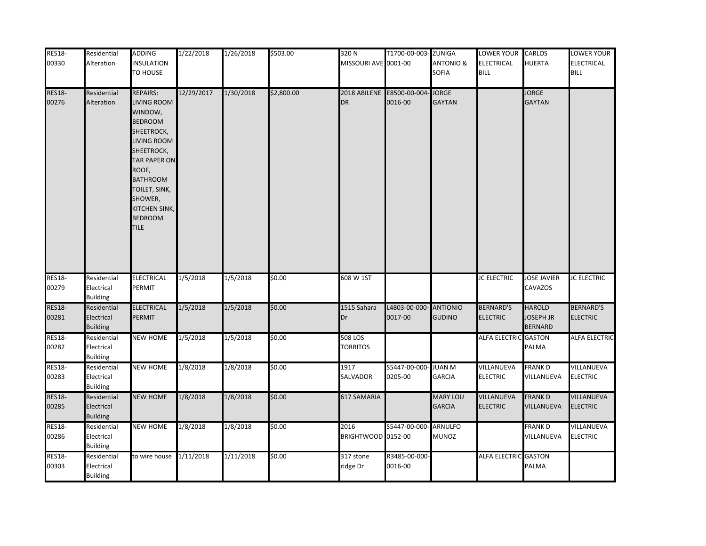| <b>RES18-</b><br>00330 | Residential<br>Alteration                    | <b>ADDING</b><br><b>INSULATION</b><br>TO HOUSE                                                                                                                                                                                   | 1/22/2018  | 1/26/2018 | \$503.00   | 320 <sub>N</sub><br>MISSOURI AVE 0001-00 | T1700-00-003- ZUNIGA     | <b>ANTONIO &amp;</b><br>SOFIA    | LOWER YOUR CARLOS<br>ELECTRICAL<br><b>BILL</b> | <b>HUERTA</b>                                       | LOWER YOUR<br><b>ELECTRICAL</b><br><b>BILL</b> |
|------------------------|----------------------------------------------|----------------------------------------------------------------------------------------------------------------------------------------------------------------------------------------------------------------------------------|------------|-----------|------------|------------------------------------------|--------------------------|----------------------------------|------------------------------------------------|-----------------------------------------------------|------------------------------------------------|
| <b>RES18-</b><br>00276 | Residential<br>Alteration                    | REPAIRS:<br>LIVING ROOM<br>WINDOW,<br><b>BEDROOM</b><br>SHEETROCK,<br>LIVING ROOM<br>SHEETROCK,<br><b>TAR PAPER ON</b><br>ROOF,<br><b>BATHROOM</b><br>TOILET, SINK,<br>SHOWER,<br>KITCHEN SINK,<br><b>BEDROOM</b><br><b>TILE</b> | 12/29/2017 | 1/30/2018 | \$2,800.00 | 2018 ABILENE<br><b>DR</b>                | E8500-00-004-<br>0016-00 | <b>JORGE</b><br><b>GAYTAN</b>    |                                                | <b>JORGE</b><br><b>GAYTAN</b>                       |                                                |
| <b>RES18-</b><br>00279 | Residential<br>Electrical<br><b>Building</b> | <b>ELECTRICAL</b><br>PERMIT                                                                                                                                                                                                      | 1/5/2018   | 1/5/2018  | \$0.00     | 608 W 1ST                                |                          |                                  | <b>JC ELECTRIC</b>                             | <b>JOSE JAVIER</b><br>CAVAZOS                       | <b>JC ELECTRIC</b>                             |
| <b>RES18-</b><br>00281 | Residential<br>Electrical<br><b>Building</b> | <b>ELECTRICAL</b><br>PERMIT                                                                                                                                                                                                      | 1/5/2018   | 1/5/2018  | \$0.00     | 1515 Sahara<br>Dr                        | L4803-00-000-<br>0017-00 | <b>ANTIONIO</b><br><b>GUDINO</b> | <b>BERNARD'S</b><br><b>ELECTRIC</b>            | <b>HAROLD</b><br><b>JOSEPH JR</b><br><b>BERNARD</b> | <b>BERNARD'S</b><br><b>ELECTRIC</b>            |
| <b>RES18-</b><br>00282 | Residential<br>Electrical<br><b>Building</b> | <b>NEW HOME</b>                                                                                                                                                                                                                  | 1/5/2018   | 1/5/2018  | \$0.00     | 508 LOS<br><b>TORRITOS</b>               |                          |                                  | ALFA ELECTRIC GASTON                           | PALMA                                               | <b>ALFA ELECTRIC</b>                           |
| <b>RES18-</b><br>00283 | Residential<br>Electrical<br><b>Building</b> | <b>NEW HOME</b>                                                                                                                                                                                                                  | 1/8/2018   | 1/8/2018  | \$0.00     | 1917<br>SALVADOR                         | S5447-00-000-<br>0205-00 | <b>JUAN M</b><br><b>GARCIA</b>   | VILLANUEVA<br><b>ELECTRIC</b>                  | FRANK D<br>VILLANUEVA                               | VILLANUEVA<br><b>ELECTRIC</b>                  |
| <b>RES18-</b><br>00285 | Residential<br>Electrical<br><b>Building</b> | <b>NEW HOME</b>                                                                                                                                                                                                                  | 1/8/2018   | 1/8/2018  | \$0.00     | 617 SAMARIA                              |                          | <b>MARY LOU</b><br><b>GARCIA</b> | VILLANUEVA<br><b>ELECTRIC</b>                  | <b>FRANK D</b><br>VILLANUEVA                        | <b>VILLANUEVA</b><br><b>ELECTRIC</b>           |
| <b>RES18-</b><br>00286 | Residential<br>Electrical<br><b>Building</b> | <b>NEW HOME</b>                                                                                                                                                                                                                  | 1/8/2018   | 1/8/2018  | \$0.00     | 2016<br>BRIGHTWOOD 0152-00               | S5447-00-000-            | <b>ARNULFO</b><br><b>MUNOZ</b>   |                                                | <b>FRANKD</b><br>VILLANUEVA                         | <b>VILLANUEVA</b><br><b>ELECTRIC</b>           |
| <b>RES18-</b><br>00303 | Residential<br>Electrical<br><b>Building</b> | to wire house 1/11/2018                                                                                                                                                                                                          |            | 1/11/2018 | \$0.00     | 317 stone<br>ridge Dr                    | R3485-00-000-<br>0016-00 |                                  | ALFA ELECTRIC GASTON                           | PALMA                                               |                                                |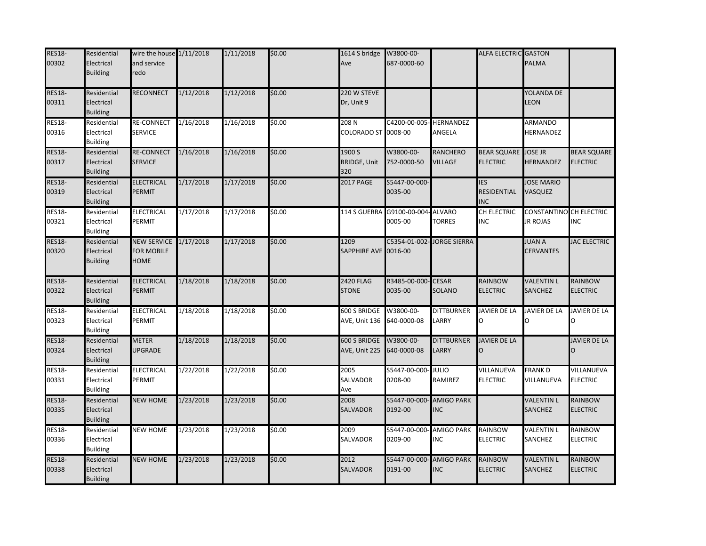| <b>RES18-</b><br>00302 | Residential<br>Electrical<br><b>Building</b> | wire the house 1/11/2018<br>and service<br>redo |           | 1/11/2018 | \$0.00 | 1614 S bridge<br>Ave                 | W3800-00-<br>687-0000-60           |                                 | ALFA ELECTRIC GASTON                           | PALMA                                      |                                       |
|------------------------|----------------------------------------------|-------------------------------------------------|-----------|-----------|--------|--------------------------------------|------------------------------------|---------------------------------|------------------------------------------------|--------------------------------------------|---------------------------------------|
| <b>RES18-</b><br>00311 | Residential<br>Electrical<br><b>Building</b> | RECONNECT                                       | 1/12/2018 | 1/12/2018 | \$0.00 | 220 W STEVE<br>Dr, Unit 9            |                                    |                                 |                                                | YOLANDA DE<br>LEON                         |                                       |
| <b>RES18-</b><br>00316 | Residential<br>Electrical<br><b>Building</b> | <b>RE-CONNECT</b><br><b>SERVICE</b>             | 1/16/2018 | 1/16/2018 | \$0.00 | 208 N<br>COLORADO ST                 | C4200-00-005- HERNANDEZ<br>0008-00 | ANGELA                          |                                                | ARMANDO<br>HERNANDEZ                       |                                       |
| <b>RES18-</b><br>00317 | Residential<br>Electrical<br><b>Building</b> | <b>RE-CONNECT</b><br><b>SERVICE</b>             | 1/16/2018 | 1/16/2018 | \$0.00 | 1900 S<br><b>BRIDGE, Unit</b><br>320 | W3800-00-<br>752-0000-50           | <b>RANCHERO</b><br>VILLAGE      | <b>BEAR SQUARE</b><br><b>ELECTRIC</b>          | <b>JOSE JR</b><br>HERNANDEZ                | <b>BEAR SQUARE</b><br><b>ELECTRIC</b> |
| <b>RES18-</b><br>00319 | Residential<br>Electrical<br><b>Building</b> | <b>ELECTRICAL</b><br><b>PERMIT</b>              | 1/17/2018 | 1/17/2018 | \$0.00 | <b>2017 PAGE</b>                     | S5447-00-000-<br>0035-00           |                                 | <b>IES</b><br><b>RESIDENTIAL</b><br><b>INC</b> | <b>JOSE MARIO</b><br>VASQUEZ               |                                       |
| <b>RES18-</b><br>00321 | Residential<br>Electrical<br><b>Building</b> | ELECTRICAL<br>PERMIT                            | 1/17/2018 | 1/17/2018 | \$0.00 | 114 S GUERRA                         | G9100-00-004- ALVARO<br>0005-00    | <b>TORRES</b>                   | CH ELECTRIC<br><b>INC</b>                      | CONSTANTINO CH ELECTRIC<br><b>JR ROJAS</b> | <b>INC</b>                            |
| <b>RES18-</b><br>00320 | Residential<br>Electrical<br><b>Building</b> | <b>NEW SERVICE</b><br><b>FOR MOBILE</b><br>HOME | 1/17/2018 | 1/17/2018 | \$0.00 | 1209<br>SAPPHIRE AVE 0016-00         | C5354-01-002                       | <b>JORGE SIERRA</b>             |                                                | <b>JUAN A</b><br><b>CERVANTES</b>          | <b>JAC ELECTRIC</b>                   |
| <b>RES18-</b><br>00322 | Residential<br>Electrical<br><b>Building</b> | <b>ELECTRICAL</b><br>PERMIT                     | 1/18/2018 | 1/18/2018 | \$0.00 | <b>2420 FLAG</b><br><b>STONE</b>     | R3485-00-000-<br>0035-00           | <b>CESAR</b><br>SOLANO          | RAINBOW<br><b>ELECTRIC</b>                     | <b>VALENTIN L</b><br>SANCHEZ               | <b>RAINBOW</b><br><b>ELECTRIC</b>     |
| <b>RES18-</b><br>00323 | Residential<br>Electrical<br><b>Building</b> | <b>ELECTRICAL</b><br>PERMIT                     | 1/18/2018 | 1/18/2018 | \$0.00 | 600 S BRIDGE<br>AVE, Unit 136        | W3800-00-<br>640-0000-08           | <b>DITTBURNER</b><br>LARRY      | JAVIER DE LA<br>O                              | <b>JAVIER DE LA</b>                        | JAVIER DE LA                          |
| <b>RES18-</b><br>00324 | Residential<br>Electrical<br><b>Building</b> | <b>METER</b><br><b>UPGRADE</b>                  | 1/18/2018 | 1/18/2018 | \$0.00 | 600 S BRIDGE<br>AVE, Unit 225        | W3800-00-<br>640-0000-08           | <b>DITTBURNER</b><br>LARRY      | <b>JAVIER DE LA</b>                            |                                            | <b>JAVIER DE LA</b>                   |
| <b>RES18-</b><br>00331 | Residential<br>Electrical<br><b>Building</b> | <b>ELECTRICAL</b><br>PERMIT                     | 1/22/2018 | 1/22/2018 | \$0.00 | 2005<br>SALVADOR<br>Ave              | S5447-00-000<br>0208-00            | <b>JULIO</b><br>RAMIREZ         | VILLANUEVA<br><b>ELECTRIC</b>                  | <b>FRANKD</b><br>VILLANUEVA                | VILLANUEVA<br><b>ELECTRIC</b>         |
| <b>RES18-</b><br>00335 | Residential<br>Electrical<br><b>Building</b> | <b>NEW HOME</b>                                 | 1/23/2018 | 1/23/2018 | \$0.00 | 2008<br><b>SALVADOR</b>              | S5447-00-000<br>0192-00            | <b>AMIGO PARK</b><br><b>INC</b> |                                                | <b>VALENTIN L</b><br>SANCHEZ               | <b>RAINBOW</b><br><b>ELECTRIC</b>     |
| <b>RES18-</b><br>00336 | Residential<br>Electrical<br><b>Building</b> | <b>NEW HOME</b>                                 | 1/23/2018 | 1/23/2018 | \$0.00 | 2009<br>SALVADOR                     | S5447-00-000<br>0209-00            | <b>AMIGO PARK</b><br><b>INC</b> | RAINBOW<br><b>ELECTRIC</b>                     | <b>VALENTIN L</b><br>SANCHEZ               | RAINBOW<br><b>ELECTRIC</b>            |
| <b>RES18-</b><br>00338 | Residential<br>Electrical<br><b>Building</b> | <b>NEW HOME</b>                                 | 1/23/2018 | 1/23/2018 | \$0.00 | 2012<br><b>SALVADOR</b>              | S5447-00-000<br>0191-00            | <b>AMIGO PARK</b><br><b>INC</b> | <b>RAINBOW</b><br><b>ELECTRIC</b>              | <b>VALENTIN L</b><br>SANCHEZ               | <b>RAINBOW</b><br><b>ELECTRIC</b>     |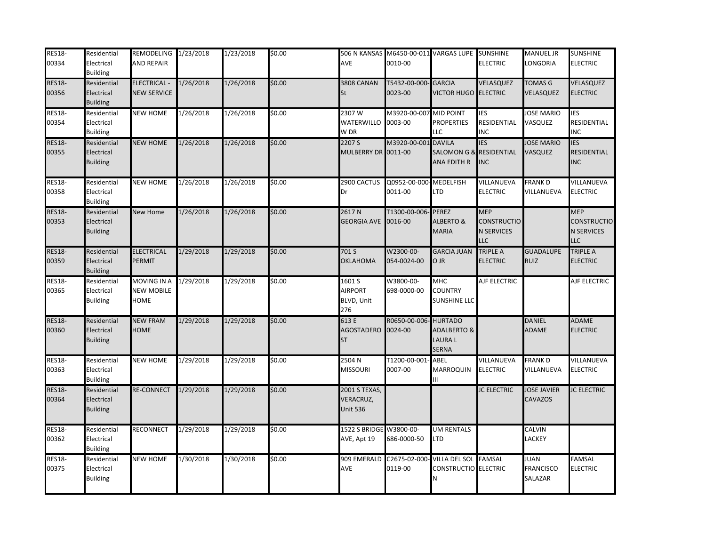| <b>RES18-</b><br>00334 | Residential<br>Electrical<br><b>Building</b> | REMODELING 1/23/2018<br><b>AND REPAIR</b>       |           | 1/23/2018 | \$0.00 | AVE                                           | 506 N KANSAS M6450-00-011 VARGAS LUPE SUNSHINE<br>0010-00 |                                                                     | <b>ELECTRIC</b>                                                     | <b>MANUEL JR</b><br>LONGORIA               | <b>SUNSHINE</b><br><b>ELECTRIC</b>                                  |
|------------------------|----------------------------------------------|-------------------------------------------------|-----------|-----------|--------|-----------------------------------------------|-----------------------------------------------------------|---------------------------------------------------------------------|---------------------------------------------------------------------|--------------------------------------------|---------------------------------------------------------------------|
| <b>RES18-</b><br>00356 | Residential<br>Electrical<br><b>Building</b> | <b>ELECTRICAL -</b><br><b>NEW SERVICE</b>       | 1/26/2018 | 1/26/2018 | \$0.00 | <b>3808 CANAN</b><br>St                       | T5432-00-000<br>0023-00                                   | <b>GARCIA</b><br><b>VICTOR HUGO ELECTRIC</b>                        | VELASQUEZ                                                           | <b>TOMAS G</b><br>VELASQUEZ                | VELASQUEZ<br><b>ELECTRIC</b>                                        |
| <b>RES18-</b><br>00354 | Residential<br>Electrical<br><b>Building</b> | <b>NEW HOME</b>                                 | 1/26/2018 | 1/26/2018 | \$0.00 | 2307 W<br><b>WATERWILLO</b><br>W DR           | M3920-00-007<br>0003-00                                   | <b>MID POINT</b><br><b>PROPERTIES</b><br>LLC                        | <b>IES</b><br>RESIDENTIAL<br>INC                                    | <b>JOSE MARIO</b><br>VASQUEZ               | <b>IES</b><br><b>RESIDENTIAL</b><br><b>INC</b>                      |
| <b>RES18-</b><br>00355 | Residential<br>Electrical<br><b>Building</b> | <b>NEW HOME</b>                                 | 1/26/2018 | 1/26/2018 | \$0.00 | 2207 S<br>MULBERRY DR 0011-00                 | M3920-00-001                                              | <b>DAVILA</b><br>SALOMON G & RESIDENTIAL<br>ANA EDITH R             | <b>IES</b><br><b>INC</b>                                            | <b>JOSE MARIO</b><br>VASQUEZ               | <b>IES</b><br><b>RESIDENTIAL</b><br><b>INC</b>                      |
| <b>RES18-</b><br>00358 | Residential<br>Electrical<br><b>Building</b> | <b>NEW HOME</b>                                 | 1/26/2018 | 1/26/2018 | \$0.00 | 2900 CACTUS<br>Dr                             | Q0952-00-000<br>0011-00                                   | MEDELFISH<br>LTD                                                    | VILLANUEVA<br><b>ELECTRIC</b>                                       | <b>FRANKD</b><br>VILLANUEVA                | VILLANUEVA<br><b>ELECTRIC</b>                                       |
| <b>RES18-</b><br>00353 | Residential<br>Electrical<br><b>Building</b> | New Home                                        | 1/26/2018 | 1/26/2018 | \$0.00 | 2617N<br><b>GEORGIA AVE</b>                   | T1300-00-006<br>0016-00                                   | <b>PEREZ</b><br>ALBERTO &<br><b>MARIA</b>                           | <b>MEP</b><br><b>CONSTRUCTIO</b><br><b>N SERVICES</b><br><b>LLC</b> |                                            | <b>MEP</b><br><b>CONSTRUCTIO</b><br><b>N SERVICES</b><br><b>LLC</b> |
| <b>RES18-</b><br>00359 | Residential<br>Electrical<br><b>Building</b> | <b>ELECTRICAL</b><br><b>PERMIT</b>              | 1/29/2018 | 1/29/2018 | \$0.00 | 701 S<br><b>OKLAHOMA</b>                      | W2300-00-<br>054-0024-00                                  | <b>GARCIA JUAN</b><br>O JR                                          | <b>TRIPLE A</b><br><b>ELECTRIC</b>                                  | <b>GUADALUPE</b><br><b>RUIZ</b>            | TRIPLE A<br><b>ELECTRIC</b>                                         |
| <b>RES18-</b><br>00365 | Residential<br>Electrical<br><b>Building</b> | MOVING IN A<br><b>NEW MOBILE</b><br><b>HOME</b> | 1/29/2018 | 1/29/2018 | \$0.00 | 1601 S<br><b>AIRPORT</b><br>BLVD, Unit<br>276 | W3800-00-<br>698-0000-00                                  | MHC<br><b>COUNTRY</b><br>SUNSHINE LLC                               | AJF ELECTRIC                                                        |                                            | AJF ELECTRIC                                                        |
| <b>RES18-</b><br>00360 | Residential<br>Electrical<br><b>Building</b> | <b>NEW FRAM</b><br><b>HOME</b>                  | 1/29/2018 | 1/29/2018 | \$0.00 | 613 E<br>AGOSTADERO<br>ST                     | R0650-00-006<br>0024-00                                   | <b>HURTADO</b><br><b>ADALBERTO &amp;</b><br>LAURA L<br><b>SERNA</b> |                                                                     | <b>DANIEL</b><br><b>ADAME</b>              | <b>ADAME</b><br><b>ELECTRIC</b>                                     |
| <b>RES18-</b><br>00363 | Residential<br>Electrical<br><b>Building</b> | <b>NEW HOME</b>                                 | 1/29/2018 | 1/29/2018 | \$0.00 | 2504 N<br><b>MISSOURI</b>                     | T1200-00-001<br>0007-00                                   | ABEL<br>MARROQUIN<br>Ш                                              | VILLANUEVA<br><b>ELECTRIC</b>                                       | <b>FRANK D</b><br>VILLANUEVA               | VILLANUEVA<br><b>ELECTRIC</b>                                       |
| <b>RES18-</b><br>00364 | Residential<br>Electrical<br><b>Building</b> | <b>RE-CONNECT</b>                               | 1/29/2018 | 1/29/2018 | \$0.00 | <b>2001 S TEXAS,</b><br>VERACRUZ,<br>Jnit 536 |                                                           |                                                                     | <b>JC ELECTRIC</b>                                                  | <b>JOSE JAVIER</b><br>CAVAZOS              | <b>JC ELECTRIC</b>                                                  |
| <b>RES18-</b><br>00362 | Residential<br>Electrical<br><b>Building</b> | <b>RECONNECT</b>                                | 1/29/2018 | 1/29/2018 | \$0.00 | 1522 S BRIDGE<br>AVE, Apt 19                  | W3800-00-<br>686-0000-50                                  | UM RENTALS<br>LTD                                                   |                                                                     | CALVIN<br>LACKEY                           |                                                                     |
| <b>RES18-</b><br>00375 | Residential<br>Electrical<br><b>Building</b> | <b>NEW HOME</b>                                 | 1/30/2018 | 1/30/2018 | \$0.00 | 909 EMERALD<br>AVE                            | C2675-02-000<br>0119-00                                   | VILLA DEL SOL FAMSAL<br>CONSTRUCTIO ELECTRIC<br>N                   |                                                                     | <b>JUAN</b><br><b>FRANCISCO</b><br>SALAZAR | <b>FAMSAL</b><br><b>ELECTRIC</b>                                    |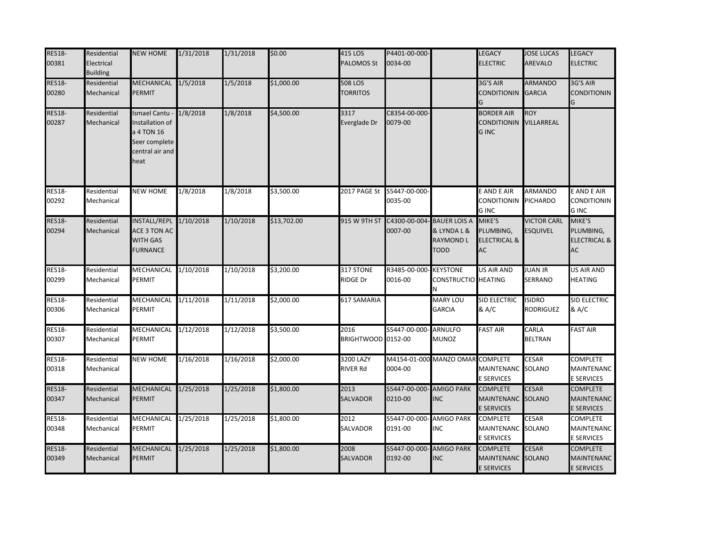| <b>RES18-</b><br>00381 | Residential<br>Electrical<br><b>Building</b> | <b>NEW HOME</b>                                                                             | 1/31/2018 | 1/31/2018 | \$0.00      | 415 LOS<br><b>PALOMOS St</b>      | P4401-00-000-<br>0034-00              |                                                | LEGACY<br><b>LECTRIC</b>                                  | <b>JOSE LUCAS</b><br>AREVALO          | <b>LEGACY</b><br><b>ELECTRIC</b>                            |
|------------------------|----------------------------------------------|---------------------------------------------------------------------------------------------|-----------|-----------|-------------|-----------------------------------|---------------------------------------|------------------------------------------------|-----------------------------------------------------------|---------------------------------------|-------------------------------------------------------------|
| <b>RES18-</b><br>00280 | Residential<br>Mechanical                    | MECHANICAL<br>PERMIT                                                                        | 1/5/2018  | 1/5/2018  | \$1,000.00  | <b>508 LOS</b><br><b>TORRITOS</b> |                                       |                                                | 3G'S AIR<br><b>CONDITIONIN</b>                            | <b>ARMANDO</b><br><b>GARCIA</b>       | 3G'S AIR<br><b>CONDITIONIN</b>                              |
| <b>RES18-</b><br>00287 | Residential<br>Mechanical                    | Ismael Cantu -<br>Installation of<br>a 4 TON 16<br>Seer complete<br>central air and<br>heat | 1/8/2018  | 1/8/2018  | \$4,500.00  | 3317<br>Everglade Dr              | C8354-00-000-<br>0079-00              |                                                | <b>BORDER AIR</b><br><b>CONDITIONIN</b><br><b>GINC</b>    | <b>ROY</b><br>VILLARREAL              |                                                             |
| <b>RES18-</b><br>00292 | Residential<br>Mechanical                    | <b>NEW HOME</b>                                                                             | 1/8/2018  | 1/8/2018  | \$3,500.00  | 2017 PAGE St                      | S5447-00-000-<br>0035-00              |                                                | E AND E AIR<br>CONDITIONIN<br><b>GINC</b>                 | ARMANDO<br><b>PICHARDO</b>            | E AND E AIR<br><b>CONDITIONIN</b><br><b>GINC</b>            |
| <b>RES18-</b><br>00294 | Residential<br>Mechanical                    | INSTALL/REPL 1/10/2018<br>ACE 3 TON AC<br><b>WITH GAS</b><br><b>FURNANCE</b>                |           | 1/10/2018 | \$13,702.00 | 915 W 9TH ST                      | C4300-00-004- BAUER LOIS A<br>0007-00 | & LYNDA L &<br><b>RAYMOND L</b><br><b>TODD</b> | MIKE'S<br>PLUMBING,<br><b>ELECTRICAL &amp;</b><br>AC      | <b>VICTOR CARL</b><br><b>ESQUIVEL</b> | MIKE'S<br>PLUMBING,<br><b>ELECTRICAL &amp;</b><br><b>AC</b> |
| <b>RES18-</b><br>00299 | Residential<br>Mechanical                    | MECHANICAL 1/10/2018<br>PERMIT                                                              |           | 1/10/2018 | \$3,200.00  | 317 STONE<br>RIDGE Dr             | R3485-00-000-KEYSTONE<br>0016-00      | CONSTRUCTIO HEATING<br>N                       | US AIR AND                                                | <b>JUAN JR</b><br>SERRANO             | US AIR AND<br><b>HEATING</b>                                |
| <b>RES18-</b><br>00306 | Residential<br>Mechanical                    | MECHANICAL<br>PERMIT                                                                        | 1/11/2018 | 1/11/2018 | \$2,000.00  | 617 SAMARIA                       |                                       | MARY LOU<br><b>GARCIA</b>                      | SID ELECTRIC<br>& A/C                                     | <b>ISIDRO</b><br>RODRIGUEZ            | SID ELECTRIC<br>& A/C                                       |
| <b>RES18-</b><br>00307 | Residential<br>Mechanical                    | MECHANICAL<br>PERMIT                                                                        | 1/12/2018 | 1/12/2018 | \$3,500.00  | 2016<br>BRIGHTWOOD 0152-00        | S5447-00-000- ARNULFO                 | MUNOZ                                          | <b>FAST AIR</b>                                           | CARLA<br><b>BELTRAN</b>               | <b>FAST AIR</b>                                             |
| <b>RES18-</b><br>00318 | Residential<br>Mechanical                    | <b>NEW HOME</b>                                                                             | 1/16/2018 | 1/16/2018 | \$2,000.00  | 3200 LAZY<br><b>RIVER Rd</b>      | 0004-00                               | M4154-01-000 MANZO OMAR COMPLETE               | MAINTENANC<br>E SERVICES                                  | <b>CESAR</b><br><b>SOLANO</b>         | <b>COMPLETE</b><br>MAINTENANC<br><b>E SERVICES</b>          |
| <b>RES18-</b><br>00347 | Residential<br>Mechanical                    | MECHANICAL 1/25/2018<br>PERMIT                                                              |           | 1/25/2018 | \$1,800.00  | 2013<br><b>SALVADOR</b>           | S5447-00-000- AMIGO PARK<br>0210-00   | <b>INC</b>                                     | <b>COMPLETE</b><br><b>MAINTENANC</b><br><b>E SERVICES</b> | <b>CESAR</b><br>SOLANO                | <b>COMPLETE</b><br><b>MAINTENANC</b><br><b>E SERVICES</b>   |
| <b>RES18-</b><br>00348 | Residential<br>Mechanical                    | MECHANICAL 1/25/2018<br>PERMIT                                                              |           | 1/25/2018 | \$1,800.00  | 2012<br>SALVADOR                  | S5447-00-000- AMIGO PARK<br>0191-00   | <b>INC</b>                                     | COMPLETE<br>MAINTENANC SOLANO<br><b>E SERVICES</b>        | <b>CESAR</b>                          | COMPLETE<br>MAINTENANC<br><b>E SERVICES</b>                 |
| <b>RES18-</b><br>00349 | Residential<br>Mechanical                    | MECHANICAL<br>PERMIT                                                                        | 1/25/2018 | 1/25/2018 | \$1,800.00  | 2008<br><b>SALVADOR</b>           | S5447-00-000<br>0192-00               | <b>AMIGO PARK</b><br><b>INC</b>                | <b>COMPLETE</b><br>MAINTENANC SOLANO<br>E SERVICES        | <b>CESAR</b>                          | <b>COMPLETE</b><br><b>MAINTENANC</b><br><b>E SERVICES</b>   |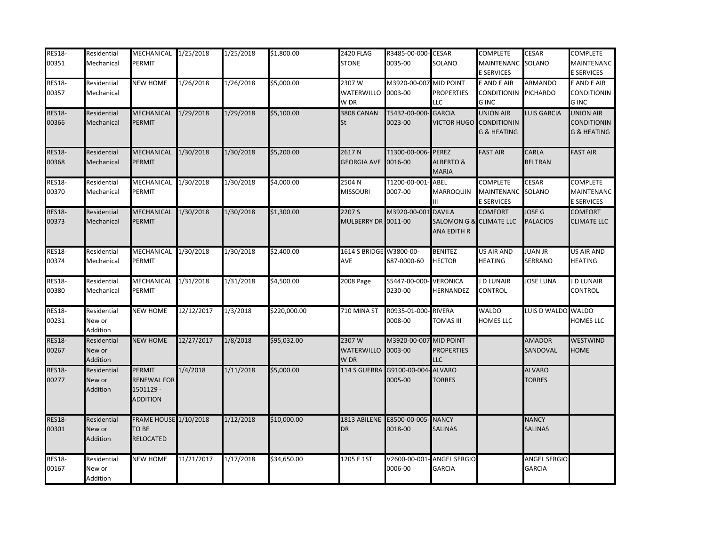| <b>RES18-</b> | Residential | MECHANICAL 1/25/2018         |            | 1/25/2018 | \$1,800.00   | <b>2420 FLAG</b>        | R3485-00-000- CESAR       |                                      | <b>COMPLETE</b>         | <b>CESAR</b>        | <b>COMPLETE</b>        |
|---------------|-------------|------------------------------|------------|-----------|--------------|-------------------------|---------------------------|--------------------------------------|-------------------------|---------------------|------------------------|
| 00351         | Mechanical  | PERMIT                       |            |           |              | <b>STONE</b>            | 0035-00                   | SOLANO                               | MAINTENANC SOLANO       |                     | MAINTENANC             |
|               |             |                              |            |           |              |                         |                           |                                      | <b>E SERVICES</b>       |                     | <b>E SERVICES</b>      |
| <b>RES18-</b> | Residential | <b>NEW HOME</b>              | 1/26/2018  | 1/26/2018 | \$5,000.00   | 2307W                   | M3920-00-007 MID POINT    |                                      | E AND E AIR             | ARMANDO             | E AND E AIR            |
| 00357         | Mechanical  |                              |            |           |              | WATERWILLO              | 0003-00                   | <b>PROPERTIES</b>                    | <b>CONDITIONIN</b>      | <b>PICHARDO</b>     | <b>CONDITIONIN</b>     |
|               |             |                              |            |           |              | W DR                    |                           | <b>LLC</b>                           | <b>GINC</b>             |                     | <b>GINC</b>            |
| <b>RES18-</b> | Residential | <b>MECHANICAL</b>            | 1/29/2018  | 1/29/2018 | \$5,100.00   | 3808 CANAN              | T5432-00-000-             | <b>GARCIA</b>                        | <b>UNION AIR</b>        | LUIS GARCIA         | <b>UNION AIR</b>       |
| 00366         | Mechanical  | <b>PERMIT</b>                |            |           |              | <b>St</b>               | 0023-00                   |                                      | VICTOR HUGO CONDITIONIN |                     | <b>CONDITIONIN</b>     |
|               |             |                              |            |           |              |                         |                           |                                      | <b>G &amp; HEATING</b>  |                     | <b>G &amp; HEATING</b> |
| <b>RES18-</b> | Residential | MECHANICAL 1/30/2018         |            | 1/30/2018 | \$5,200.00   | 2617N                   | T1300-00-006-PEREZ        |                                      | <b>FAST AIR</b>         | CARLA               | <b>FAST AIR</b>        |
| 00368         | Mechanical  | <b>PERMIT</b>                |            |           |              | <b>GEORGIA AVE</b>      | 0016-00                   | <b>ALBERTO &amp;</b><br><b>MARIA</b> |                         | <b>BELTRAN</b>      |                        |
| <b>RES18-</b> | Residential | MECHANICAL                   | 1/30/2018  | 1/30/2018 | \$4,000.00   | 2504 N                  | T1200-00-001- ABEL        |                                      | COMPLETE                | <b>CESAR</b>        | COMPLETE               |
| 00370         | Mechanical  | <b>PERMIT</b>                |            |           |              | <b>MISSOURI</b>         | 0007-00                   | <b>MARROQUIN</b>                     | MAINTENANC SOLANO       |                     | <b>MAINTENANC</b>      |
|               |             |                              |            |           |              |                         |                           | Ш                                    | <b>E SERVICES</b>       |                     | <b>E SERVICES</b>      |
| <b>RES18-</b> | Residential | <b>MECHANICAL</b>            | 1/30/2018  | 1/30/2018 | \$1,300.00   | 2207 S                  | M3920-00-001              | <b>DAVILA</b>                        | <b>COMFORT</b>          | JOSE G              | <b>COMFORT</b>         |
| 00373         | Mechanical  | <b>PERMIT</b>                |            |           |              | MULBERRY DR 0011-00     |                           | SALOMON G & CLIMATE LLC              |                         | <b>PALACIOS</b>     | <b>CLIMATE LLC</b>     |
|               |             |                              |            |           |              |                         |                           | ANA EDITH R                          |                         |                     |                        |
| <b>RES18-</b> | Residential | MECHANICAL 1/30/2018         |            | 1/30/2018 | \$2,400.00   | 1614 S BRIDGE W3800-00- |                           | <b>BENITEZ</b>                       | US AIR AND              | <b>JUAN JR</b>      | US AIR AND             |
| 00374         | Mechanical  | <b>PERMIT</b>                |            |           |              | <b>AVE</b>              | 687-0000-60               | <b>HECTOR</b>                        | <b>HEATING</b>          | SERRANO             | HEATING                |
|               |             |                              |            |           |              |                         |                           |                                      |                         |                     |                        |
| <b>RES18-</b> | Residential | MECHANICAL 1/31/2018         |            | 1/31/2018 | \$4,500.00   | 2008 Page               | S5447-00-000-             | <b>VERONICA</b>                      | J D LUNAIR              | <b>JOSE LUNA</b>    | J D LUNAIR             |
| 00380         | Mechanical  | <b>PERMIT</b>                |            |           |              |                         | 0230-00                   | HERNANDEZ                            | CONTROL                 |                     | CONTROL                |
| <b>RES18-</b> | Residential | <b>NEW HOME</b>              | 12/12/2017 | 1/3/2018  | \$220,000.00 | 710 MINA ST             | R0935-01-000-RIVERA       |                                      | <b>WALDO</b>            | LUIS D WALDO WALDO  |                        |
| 00231         | New or      |                              |            |           |              |                         | 0008-00                   | TOMAS III                            | HOMES LLC               |                     | HOMES LLC              |
|               | Addition    |                              |            |           |              |                         |                           |                                      |                         |                     |                        |
| <b>RES18-</b> | Residential | <b>NEW HOME</b>              | 12/27/2017 | 1/8/2018  | \$95,032.00  | 2307W                   | M3920-00-007              | <b>MID POINT</b>                     |                         | <b>AMADOR</b>       | <b>WESTWIND</b>        |
| 00267         | New or      |                              |            |           |              | <b>WATERWILLO</b>       | 0003-00                   | <b>PROPERTIES</b>                    |                         | SANDOVAL            | HOME                   |
|               | Addition    |                              |            |           |              | W DR                    |                           | <b>LLC</b>                           |                         |                     |                        |
| <b>RES18-</b> | Residential | <b>PERMIT</b>                | 1/4/2018   | 1/11/2018 | \$5,000.00   | 114 S GUERRA            | G9100-00-004              | <b>ALVARO</b>                        |                         | <b>ALVARO</b>       |                        |
| 00277         | New or      | <b>RENEWAL FOR</b>           |            |           |              |                         | 0005-00                   | <b>TORRES</b>                        |                         | <b>TORRES</b>       |                        |
|               | Addition    | 1501129 -                    |            |           |              |                         |                           |                                      |                         |                     |                        |
|               |             | <b>ADDITION</b>              |            |           |              |                         |                           |                                      |                         |                     |                        |
| <b>RES18-</b> | Residential | <b>FRAME HOUSE 1/10/2018</b> |            | 1/12/2018 | \$10,000.00  |                         | 1813 ABILENE E8500-00-005 | <b>NANCY</b>                         |                         | <b>NANCY</b>        |                        |
| 00301         | New or      | <b>TO BE</b>                 |            |           |              | <b>DR</b>               | 0018-00                   | <b>SALINAS</b>                       |                         | <b>SALINAS</b>      |                        |
|               | Addition    | <b>RELOCATED</b>             |            |           |              |                         |                           |                                      |                         |                     |                        |
| <b>RES18-</b> | Residential | <b>NEW HOME</b>              | 11/21/2017 | 1/17/2018 | \$34,650.00  | 1205 E 1ST              | V2600-00-001              | - ANGEL SERGIO                       |                         | <b>ANGEL SERGIO</b> |                        |
| 00167         | New or      |                              |            |           |              |                         | 0006-00                   | <b>GARCIA</b>                        |                         | <b>GARCIA</b>       |                        |
|               | Addition    |                              |            |           |              |                         |                           |                                      |                         |                     |                        |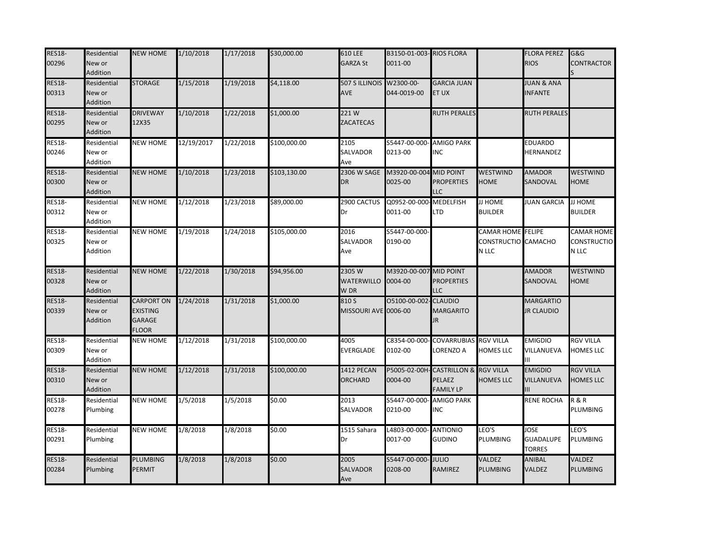| <b>RES18-</b><br>00296 | Residential<br>New or<br>Addition | <b>NEW HOME</b>                                                       | 1/10/2018  | 1/17/2018 | \$30,000.00  | 610 LEE<br><b>GARZA St</b>             | B3150-01-003- RIOS FLORA<br>0011-00 |                                                          |                                                         | <b>FLORA PEREZ</b><br><b>RIOS</b>                | G&G<br>CONTRACTOR                         |
|------------------------|-----------------------------------|-----------------------------------------------------------------------|------------|-----------|--------------|----------------------------------------|-------------------------------------|----------------------------------------------------------|---------------------------------------------------------|--------------------------------------------------|-------------------------------------------|
| <b>RES18-</b><br>00313 | Residential<br>New or<br>Addition | <b>STORAGE</b>                                                        | 1/15/2018  | 1/19/2018 | \$4,118.00   | 507 S ILLINOIS W2300-00-<br><b>AVE</b> | 044-0019-00                         | <b>GARCIA JUAN</b><br>ET UX                              |                                                         | <b>JUAN &amp; ANA</b><br><b>INFANTE</b>          |                                           |
| <b>RES18-</b><br>00295 | Residential<br>New or<br>Addition | <b>DRIVEWAY</b><br>12X35                                              | 1/10/2018  | 1/22/2018 | \$1,000.00   | 221W<br><b>ZACATECAS</b>               |                                     | RUTH PERALES                                             |                                                         | <b>RUTH PERALES</b>                              |                                           |
| <b>RES18-</b><br>00246 | Residential<br>New or<br>Addition | <b>NEW HOME</b>                                                       | 12/19/2017 | 1/22/2018 | \$100,000.00 | 2105<br>SALVADOR<br>Ave                | S5447-00-000-<br>0213-00            | <b>AMIGO PARK</b><br><b>INC</b>                          |                                                         | <b>EDUARDO</b><br>HERNANDEZ                      |                                           |
| <b>RES18-</b><br>00300 | Residential<br>New or<br>Addition | <b>NEW HOME</b>                                                       | 1/10/2018  | 1/23/2018 | \$103,130.00 | 2306 W SAGE<br>DR                      | M3920-00-004 MID POINT<br>0025-00   | <b>PROPERTIES</b><br>LLC                                 | WESTWIND<br><b>HOME</b>                                 | <b>AMADOR</b><br>SANDOVAL                        | WESTWIND<br>HOME                          |
| <b>RES18-</b><br>00312 | Residential<br>New or<br>Addition | NEW HOME                                                              | 1/12/2018  | 1/23/2018 | \$89,000.00  | 2900 CACTUS<br>Dr                      | Q0952-00-000<br>0011-00             | <b>MEDELFISH</b><br>LTD                                  | JJ HOME<br><b>BUILDER</b>                               | <b>JUAN GARCIA</b>                               | JJ HOME<br><b>BUILDER</b>                 |
| <b>RES18-</b><br>00325 | Residential<br>New or<br>Addition | <b>NEW HOME</b>                                                       | 1/19/2018  | 1/24/2018 | \$105,000.00 | 2016<br>SALVADOR<br>Ave                | S5447-00-000-<br>0190-00            |                                                          | <b>CAMAR HOME</b> FELIPE<br><b>CONSTRUCTIO</b><br>N LLC | CAMACHO                                          | CAMAR HOME<br><b>CONSTRUCTIO</b><br>N LLC |
| <b>RES18-</b><br>00328 | Residential<br>New or<br>Addition | <b>NEW HOME</b>                                                       | 1/22/2018  | 1/30/2018 | \$94,956.00  | 2305W<br>WATERWILLO<br>W DR            | M3920-00-007<br>0004-00             | <b>MID POINT</b><br><b>PROPERTIES</b><br>LLC             |                                                         | <b>AMADOR</b><br>SANDOVAL                        | WESTWIND<br>HOME                          |
| <b>RES18-</b><br>00339 | Residential<br>New or<br>Addition | <b>CARPORT ON</b><br><b>EXISTING</b><br><b>GARAGE</b><br><b>FLOOR</b> | 1/24/2018  | 1/31/2018 | \$1,000.00   | 810 S<br>MISSOURI AVE 0006-00          | 05100-00-002                        | <b>CLAUDIO</b><br><b>MARGARITO</b><br>IR.                |                                                         | <b>MARGARTIO</b><br><b>JR CLAUDIO</b>            |                                           |
| <b>RES18-</b><br>00309 | Residential<br>New or<br>Addition | <b>NEW HOME</b>                                                       | 1/12/2018  | 1/31/2018 | \$100,000.00 | 4005<br>EVERGLADE                      | C8354-00-000-<br>0102-00            | <b>COVARRUBIAS</b><br>ORENZO A                           | <b>RGV VILLA</b><br><b>HOMES LLC</b>                    | <b>EMIGDIO</b><br>VILLANUEVA<br>Ш                | <b>RGV VILLA</b><br><b>HOMES LLC</b>      |
| <b>RES18-</b><br>00310 | Residential<br>New or<br>Addition | <b>NEW HOME</b>                                                       | 1/12/2018  | 1/31/2018 | \$100,000.00 | 1412 PECAN<br>ORCHARD                  | 0004-00                             | P5005-02-00H- CASTRILLON &<br>PELAEZ<br><b>FAMILY LP</b> | <b>RGV VILLA</b><br><b>HOMES LLC</b>                    | <b>EMIGDIO</b><br>VILLANUEVA<br>Ш                | <b>RGV VILLA</b><br><b>HOMES LLC</b>      |
| <b>RES18-</b><br>00278 | Residential<br>Plumbing           | NEW HOME                                                              | 1/5/2018   | 1/5/2018  | \$0.00       | 2013<br>SALVADOR                       | S5447-00-000-<br>0210-00            | <b>AMIGO PARK</b><br>INC                                 |                                                         | <b>RENE ROCHA</b>                                | <b>R&amp;R</b><br>PLUMBING                |
| <b>RES18-</b><br>00291 | Residential<br>Plumbing           | <b>NEW HOME</b>                                                       | 1/8/2018   | 1/8/2018  | \$0.00       | 1515 Sahara<br>Dr                      | L4803-00-000- ANTIONIO<br>0017-00   | <b>GUDINO</b>                                            | LEO'S<br>PLUMBING                                       | <b>JOSE</b><br><b>GUADALUPE</b><br><b>TORRES</b> | LEO'S<br>PLUMBING                         |
| <b>RES18-</b><br>00284 | Residential<br>Plumbing           | <b>PLUMBING</b><br>PERMIT                                             | 1/8/2018   | 1/8/2018  | \$0.00       | 2005<br>SALVADOR<br>Ave                | S5447-00-000-<br>0208-00            | <b>JULIO</b><br>RAMIREZ                                  | <b>VALDEZ</b><br>PLUMBING                               | <b>ANIBAL</b><br>VALDEZ                          | VALDEZ<br>PLUMBING                        |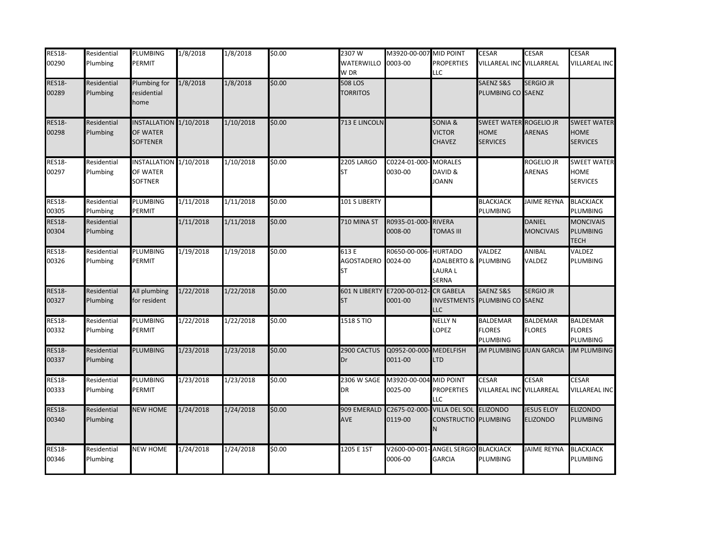| <b>RES18-</b> | Residential | <b>PLUMBING</b>                    | 1/8/2018  | 1/8/2018  | \$0.00 | 2307 W               | M3920-00-007 MID POINT |                                      | <b>CESAR</b>                                 | <b>CESAR</b>       | <b>CESAR</b>                      |
|---------------|-------------|------------------------------------|-----------|-----------|--------|----------------------|------------------------|--------------------------------------|----------------------------------------------|--------------------|-----------------------------------|
| 00290         | Plumbing    | PERMIT                             |           |           |        | WATERWILLO           | 0003-00                | <b>PROPERTIES</b>                    | VILLAREAL INC VILLARREAL                     |                    | <b>VILLAREAL INC</b>              |
|               |             |                                    |           |           |        | W DR                 |                        | <b>LLC</b>                           |                                              |                    |                                   |
| <b>RES18-</b> | Residential | Plumbing for                       | 1/8/2018  | 1/8/2018  | \$0.00 | <b>508 LOS</b>       |                        |                                      | SAENZ S&S                                    | <b>SERGIO JR</b>   |                                   |
| 00289         | Plumbing    | residential                        |           |           |        | <b>TORRITOS</b>      |                        |                                      | PLUMBING CO SAENZ                            |                    |                                   |
|               |             | home                               |           |           |        |                      |                        |                                      |                                              |                    |                                   |
|               |             |                                    |           |           |        |                      |                        |                                      |                                              |                    |                                   |
| <b>RES18-</b> | Residential | INSTALLATION 1/10/2018<br>OF WATER |           | 1/10/2018 | \$0.00 | 713 E LINCOLN        |                        | SONIA &                              | <b>SWEET WATER ROGELIO JR</b><br><b>HOME</b> | <b>ARENAS</b>      | <b>SWEET WATER</b><br><b>HOME</b> |
| 00298         | Plumbing    |                                    |           |           |        |                      |                        | <b>VICTOR</b>                        |                                              |                    |                                   |
|               |             | <b>SOFTENER</b>                    |           |           |        |                      |                        | CHAVEZ                               | <b>SERVICES</b>                              |                    | <b>SERVICES</b>                   |
| <b>RES18-</b> | Residential | INSTALLATION 1/10/2018             |           | 1/10/2018 | \$0.00 | <b>2205 LARGO</b>    | C0224-01-000-          | <b>MORALES</b>                       |                                              | Rogelio Jr         | <b>SWEET WATER</b>                |
| 00297         | Plumbing    | OF WATER                           |           |           |        | ST                   | 0030-00                | DAVID &                              |                                              | ARENAS             | <b>HOME</b>                       |
|               |             | SOFTNER                            |           |           |        |                      |                        | <b>JOANN</b>                         |                                              |                    | <b>SERVICES</b>                   |
| <b>RES18-</b> | Residential | PLUMBING                           | 1/11/2018 | 1/11/2018 | \$0.00 | 101 S LIBERTY        |                        |                                      | <b>BLACKJACK</b>                             | <b>JAIME REYNA</b> | <b>BLACKJACK</b>                  |
| 00305         | Plumbing    | PERMIT                             |           |           |        |                      |                        |                                      | PLUMBING                                     |                    | PLUMBING                          |
| <b>RES18-</b> | Residential |                                    | 1/11/2018 | 1/11/2018 | \$0.00 | 710 MINA ST          | R0935-01-000-RIVERA    |                                      |                                              | <b>DANIEL</b>      | <b>MONCIVAIS</b>                  |
| 00304         | Plumbing    |                                    |           |           |        |                      | 0008-00                | TOMAS III                            |                                              | <b>MONCIVAIS</b>   | PLUMBING                          |
|               |             |                                    |           |           |        |                      |                        |                                      |                                              |                    | <b>TECH</b>                       |
| <b>RES18-</b> | Residential | PLUMBING                           | 1/19/2018 | 1/19/2018 | \$0.00 | 613 E                | R0650-00-006- HURTADO  |                                      | VALDEZ                                       | ANIBAL             | VALDEZ                            |
| 00326         | Plumbing    | PERMIT                             |           |           |        | <b>AGOSTADERO</b>    | 0024-00                | ADALBERTO & PLUMBING                 |                                              | VALDEZ             | PLUMBING                          |
|               |             |                                    |           |           |        | ST                   |                        | LAURA L                              |                                              |                    |                                   |
|               |             |                                    |           |           |        |                      |                        | SERNA                                |                                              |                    |                                   |
| <b>RES18-</b> | Residential | All plumbing                       | 1/22/2018 | 1/22/2018 | \$0.00 | <b>601 N LIBERTY</b> | E7200-00-012           | <b>CR GABELA</b>                     | <b>SAENZ S&amp;S</b>                         | <b>SERGIO JR</b>   |                                   |
| 00327         | Plumbing    | for resident                       |           |           |        | <b>ST</b>            | 0001-00                | <b>INVESTMENTS</b>                   | PLUMBING CO SAENZ                            |                    |                                   |
|               |             |                                    |           |           |        |                      |                        | <b>LLC</b>                           |                                              |                    |                                   |
| <b>RES18-</b> | Residential | <b>PLUMBING</b>                    | 1/22/2018 | 1/22/2018 | \$0.00 | 1518 S TIO           |                        | <b>NELLY N</b>                       | <b>BALDEMAR</b>                              | <b>BALDEMAR</b>    | <b>BALDEMAR</b>                   |
| 00332         | Plumbing    | PERMIT                             |           |           |        |                      |                        | LOPEZ                                | <b>FLORES</b>                                | FLORES             | <b>FLORES</b>                     |
|               |             |                                    |           |           |        |                      |                        |                                      | PLUMBING                                     |                    | PLUMBING                          |
| <b>RES18-</b> | Residential | <b>PLUMBING</b>                    | 1/23/2018 | 1/23/2018 | \$0.00 | 2900 CACTUS          | Q0952-00-000-MEDELFISH |                                      | <b>JM PLUMBING JUAN GARCIA</b>               |                    | <b>JM PLUMBING</b>                |
| 00337         | Plumbing    |                                    |           |           |        | Dr                   | 0011-00                | <b>LTD</b>                           |                                              |                    |                                   |
| <b>RES18-</b> | Residential | PLUMBING                           | 1/23/2018 | 1/23/2018 | \$0.00 | 2306 W SAGE          | M3920-00-004           | <b>MID POINT</b>                     | <b>CESAR</b>                                 | <b>CESAR</b>       | CESAR                             |
| 00333         | Plumbing    | PERMIT                             |           |           |        | DR                   | 0025-00                | <b>PROPERTIES</b>                    | VILLAREAL INC VILLARREAL                     |                    | VILLAREAL INC                     |
|               |             |                                    |           |           |        |                      |                        | LLC                                  |                                              |                    |                                   |
| <b>RES18-</b> | Residential | <b>NEW HOME</b>                    | 1/24/2018 | 1/24/2018 | \$0.00 | 909 EMERALD          | C2675-02-000           | <b>VILLA DEL SOL ELIZONDO</b>        |                                              | <b>JESUS ELOY</b>  | <b>ELIZONDO</b>                   |
| 00340         | Plumbing    |                                    |           |           |        | <b>AVE</b>           | 0119-00                | CONSTRUCTIO PLUMBING                 |                                              | ELIZONDO           | PLUMBING                          |
|               |             |                                    |           |           |        |                      |                        |                                      |                                              |                    |                                   |
| <b>RES18-</b> | Residential | <b>NEW HOME</b>                    | 1/24/2018 | 1/24/2018 | \$0.00 | 1205 E 1ST           |                        | V2600-00-001- ANGEL SERGIO BLACKJACK |                                              | <b>JAIME REYNA</b> | <b>BLACKJACK</b>                  |
| 00346         | Plumbing    |                                    |           |           |        |                      | 0006-00                | <b>GARCIA</b>                        | PLUMBING                                     |                    | PLUMBING                          |
|               |             |                                    |           |           |        |                      |                        |                                      |                                              |                    |                                   |
|               |             |                                    |           |           |        |                      |                        |                                      |                                              |                    |                                   |